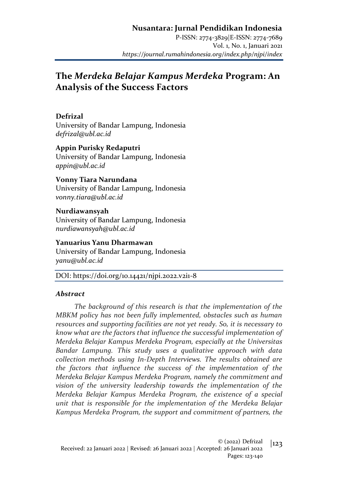### **Nusantara: Jurnal Pendidikan Indonesia**

P-ISSN: 2774-3829|E-ISSN: 2774-7689 Vol. 1, No. 1, Januari 2021 *https://journal.rumahindonesia.org/index.php/njpi/index*

# **The** *Merdeka Belajar Kampus Merdeka* **Program: An Analysis of the Success Factors**

#### **Defrizal**

University of Bandar Lampung, Indonesia *defrizal@ubl.ac.id*

**Appin Purisky Redaputri** University of Bandar Lampung, Indonesia *appin@ubl.ac.id*

**Vonny Tiara Narundana** University of Bandar Lampung, Indonesia *vonny.tiara@ubl.ac.id*

**Nurdiawansyah** University of Bandar Lampung, Indonesia *nurdiawansyah@ubl.ac.id*

**Yanuarius Yanu Dharmawan** University of Bandar Lampung, Indonesia *yanu@ubl.ac.id*

DOI: https://doi.org/10.14421/njpi.2022.v2i1-8

#### *Abstract*

*The background of this research is that the implementation of the MBKM policy has not been fully implemented, obstacles such as human resources and supporting facilities are not yet ready. So, it is necessary to know what are the factors that influence the successful implementation of Merdeka Belajar Kampus Merdeka Program, especially at the Universitas Bandar Lampung. This study uses a qualitative approach with data collection methods using In-Depth Interviews. The results obtained are the factors that influence the success of the implementation of the Merdeka Belajar Kampus Merdeka Program, namely the commitment and vision of the university leadership towards the implementation of the Merdeka Belajar Kampus Merdeka Program, the existence of a special unit that is responsible for the implementation of the Merdeka Belajar Kampus Merdeka Program, the support and commitment of partners, the*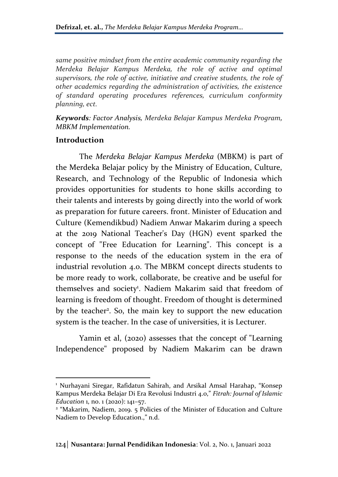*same positive mindset from the entire academic community regarding the Merdeka Belajar Kampus Merdeka, the role of active and optimal supervisors, the role of active, initiative and creative students, the role of other academics regarding the administration of activities, the existence of standard operating procedures references, curriculum conformity planning, ect.*

*Keywords: Factor Analysis, Merdeka Belajar Kampus Merdeka Program, MBKM Implementation.*

#### **Introduction**

The *Merdeka Belajar Kampus Merdeka* (MBKM) is part of the Merdeka Belajar policy by the Ministry of Education, Culture, Research, and Technology of the Republic of Indonesia which provides opportunities for students to hone skills according to their talents and interests by going directly into the world of work as preparation for future careers. front. Minister of Education and Culture (Kemendikbud) Nadiem Anwar Makarim during a speech at the 2019 National Teacher's Day (HGN) event sparked the concept of "Free Education for Learning". This concept is a response to the needs of the education system in the era of industrial revolution 4.0. The MBKM concept directs students to be more ready to work, collaborate, be creative and be useful for themselves and society<sup>1</sup>. Nadiem Makarim said that freedom of learning is freedom of thought. Freedom of thought is determined by the teacher<sup>2</sup>. So, the main key to support the new education system is the teacher. In the case of universities, it is Lecturer.

Yamin et al, (2020) assesses that the concept of "Learning Independence" proposed by Nadiem Makarim can be drawn

<sup>&</sup>lt;sup>1</sup> Nurhayani Siregar, Rafidatun Sahirah, and Arsikal Amsal Harahap, "Konsep Kampus Merdeka Belajar Di Era Revolusi Industri 4.0," *Fitrah: Journal of Islamic Education* 1, no. 1 (2020): 141–57.

<sup>&</sup>lt;sup>2</sup> "Makarim, Nadiem, 2019. 5 Policies of the Minister of Education and Culture Nadiem to Develop Education.," n.d.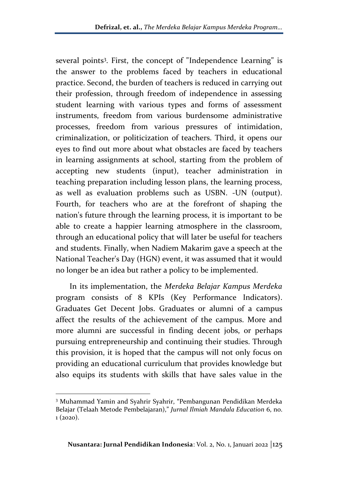several points<sup>3</sup>. First, the concept of "Independence Learning" is the answer to the problems faced by teachers in educational practice. Second, the burden of teachers is reduced in carrying out their profession, through freedom of independence in assessing student learning with various types and forms of assessment instruments, freedom from various burdensome administrative processes, freedom from various pressures of intimidation, criminalization, or politicization of teachers. Third, it opens our eyes to find out more about what obstacles are faced by teachers in learning assignments at school, starting from the problem of accepting new students (input), teacher administration in teaching preparation including lesson plans, the learning process, as well as evaluation problems such as USBN. -UN (output). Fourth, for teachers who are at the forefront of shaping the nation's future through the learning process, it is important to be able to create a happier learning atmosphere in the classroom, through an educational policy that will later be useful for teachers and students. Finally, when Nadiem Makarim gave a speech at the National Teacher's Day (HGN) event, it was assumed that it would no longer be an idea but rather a policy to be implemented.

In its implementation, the *Merdeka Belajar Kampus Merdeka*  program consists of 8 KPIs (Key Performance Indicators). Graduates Get Decent Jobs. Graduates or alumni of a campus affect the results of the achievement of the campus. More and more alumni are successful in finding decent jobs, or perhaps pursuing entrepreneurship and continuing their studies. Through this provision, it is hoped that the campus will not only focus on providing an educational curriculum that provides knowledge but also equips its students with skills that have sales value in the

<sup>3</sup> Muhammad Yamin and Syahrir Syahrir, "Pembangunan Pendidikan Merdeka Belajar (Telaah Metode Pembelajaran)," *Jurnal Ilmiah Mandala Education* 6, no.  $1 (2020)$ .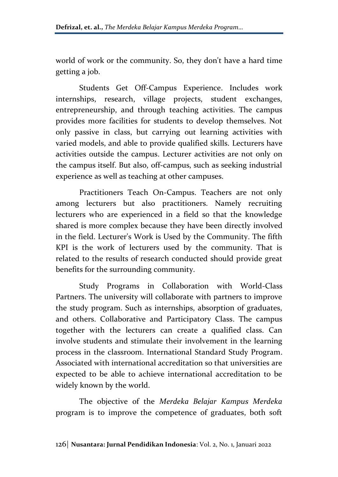world of work or the community. So, they don't have a hard time getting a job.

Students Get Off-Campus Experience. Includes work internships, research, village projects, student exchanges, entrepreneurship, and through teaching activities. The campus provides more facilities for students to develop themselves. Not only passive in class, but carrying out learning activities with varied models, and able to provide qualified skills. Lecturers have activities outside the campus. Lecturer activities are not only on the campus itself. But also, off-campus, such as seeking industrial experience as well as teaching at other campuses.

Practitioners Teach On-Campus. Teachers are not only among lecturers but also practitioners. Namely recruiting lecturers who are experienced in a field so that the knowledge shared is more complex because they have been directly involved in the field. Lecturer's Work is Used by the Community. The fifth KPI is the work of lecturers used by the community. That is related to the results of research conducted should provide great benefits for the surrounding community.

Study Programs in Collaboration with World-Class Partners. The university will collaborate with partners to improve the study program. Such as internships, absorption of graduates, and others. Collaborative and Participatory Class. The campus together with the lecturers can create a qualified class. Can involve students and stimulate their involvement in the learning process in the classroom. International Standard Study Program. Associated with international accreditation so that universities are expected to be able to achieve international accreditation to be widely known by the world.

The objective of the *Merdeka Belajar Kampus Merdeka*  program is to improve the competence of graduates, both soft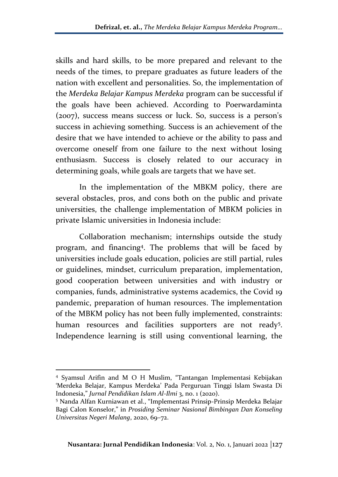skills and hard skills, to be more prepared and relevant to the needs of the times, to prepare graduates as future leaders of the nation with excellent and personalities. So, the implementation of the *Merdeka Belajar Kampus Merdeka* program can be successful if the goals have been achieved. According to Poerwardaminta (2007), success means success or luck. So, success is a person's success in achieving something. Success is an achievement of the desire that we have intended to achieve or the ability to pass and overcome oneself from one failure to the next without losing enthusiasm. Success is closely related to our accuracy in determining goals, while goals are targets that we have set.

In the implementation of the MBKM policy, there are several obstacles, pros, and cons both on the public and private universities, the challenge implementation of MBKM policies in private Islamic universities in Indonesia include:

Collaboration mechanism; internships outside the study program, and financing<sup>4</sup> . The problems that will be faced by universities include goals education, policies are still partial, rules or guidelines, mindset, curriculum preparation, implementation, good cooperation between universities and with industry or companies, funds, administrative systems academics, the Covid 19 pandemic, preparation of human resources. The implementation of the MBKM policy has not been fully implemented, constraints: human resources and facilities supporters are not ready<sup>5</sup>. Independence learning is still using conventional learning, the

<sup>4</sup> Syamsul Arifin and M O H Muslim, "Tantangan Implementasi Kebijakan 'Merdeka Belajar, Kampus Merdeka' Pada Perguruan Tinggi Islam Swasta Di Indonesia," *Jurnal Pendidikan Islam Al-Ilmi* 3, no. 1 (2020).

<sup>5</sup> Nanda Alfan Kurniawan et al., "Implementasi Prinsip-Prinsip Merdeka Belajar Bagi Calon Konselor," in *Prosiding Seminar Nasional Bimbingan Dan Konseling Universitas Negeri Malang*, 2020, 69–72.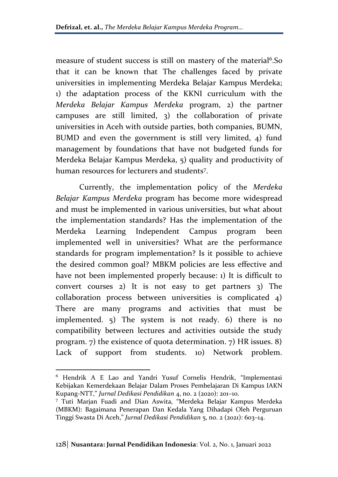measure of student success is still on mastery of the material<sup>6</sup>.So that it can be known that The challenges faced by private universities in implementing Merdeka Belajar Kampus Merdeka; 1) the adaptation process of the KKNI curriculum with the *Merdeka Belajar Kampus Merdeka* program, 2) the partner campuses are still limited, 3) the collaboration of private universities in Aceh with outside parties, both companies, BUMN, BUMD and even the government is still very limited, 4) fund management by foundations that have not budgeted funds for Merdeka Belajar Kampus Merdeka, 5) quality and productivity of human resources for lecturers and students<sup>7</sup> .

Currently, the implementation policy of the *Merdeka Belajar Kampus Merdeka* program has become more widespread and must be implemented in various universities, but what about the implementation standards? Has the implementation of the Merdeka Learning Independent Campus program been implemented well in universities? What are the performance standards for program implementation? Is it possible to achieve the desired common goal? MBKM policies are less effective and have not been implemented properly because: 1) It is difficult to convert courses 2) It is not easy to get partners 3) The collaboration process between universities is complicated 4) There are many programs and activities that must be implemented. 5) The system is not ready. 6) there is no compatibility between lectures and activities outside the study program. 7) the existence of quota determination. 7) HR issues. 8) Lack of support from students. 10) Network problem.

<sup>6</sup> Hendrik A E Lao and Yandri Yusuf Cornelis Hendrik, "Implementasi Kebijakan Kemerdekaan Belajar Dalam Proses Pembelajaran Di Kampus IAKN Kupang-NTT," *Jurnal Dedikasi Pendidikan* 4, no. 2 (2020): 201–10.

<sup>7</sup> Tuti Marjan Fuadi and Dian Aswita, "Merdeka Belajar Kampus Merdeka (MBKM): Bagaimana Penerapan Dan Kedala Yang Dihadapi Oleh Perguruan Tinggi Swasta Di Aceh," *Jurnal Dedikasi Pendidikan* 5, no. 2 (2021): 603–14.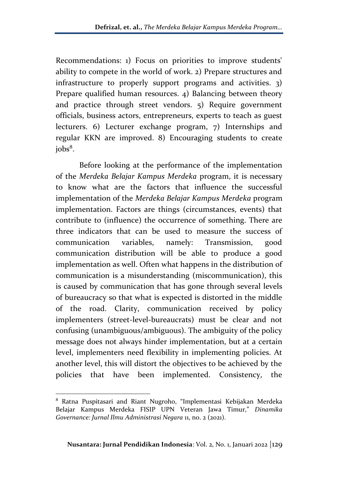Recommendations: 1) Focus on priorities to improve students' ability to compete in the world of work. 2) Prepare structures and infrastructure to properly support programs and activities. 3) Prepare qualified human resources. 4) Balancing between theory and practice through street vendors. 5) Require government officials, business actors, entrepreneurs, experts to teach as guest lecturers. 6) Lecturer exchange program, 7) Internships and regular KKN are improved. 8) Encouraging students to create jobs<sup>8</sup> .

Before looking at the performance of the implementation of the *Merdeka Belajar Kampus Merdeka* program, it is necessary to know what are the factors that influence the successful implementation of the *Merdeka Belajar Kampus Merdeka* program implementation. Factors are things (circumstances, events) that contribute to (influence) the occurrence of something. There are three indicators that can be used to measure the success of communication variables, namely: Transmission, good communication distribution will be able to produce a good implementation as well. Often what happens in the distribution of communication is a misunderstanding (miscommunication), this is caused by communication that has gone through several levels of bureaucracy so that what is expected is distorted in the middle of the road. Clarity, communication received by policy implementers (street-level-bureaucrats) must be clear and not confusing (unambiguous/ambiguous). The ambiguity of the policy message does not always hinder implementation, but at a certain level, implementers need flexibility in implementing policies. At another level, this will distort the objectives to be achieved by the policies that have been implemented. Consistency, the

<sup>8</sup> Ratna Puspitasari and Riant Nugroho, "Implementasi Kebijakan Merdeka Belajar Kampus Merdeka FISIP UPN Veteran Jawa Timur," *Dinamika Governance: Jurnal Ilmu Administrasi Negara* 11, no. 2 (2021).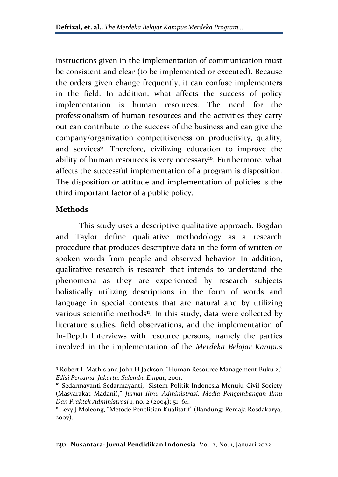instructions given in the implementation of communication must be consistent and clear (to be implemented or executed). Because the orders given change frequently, it can confuse implementers in the field. In addition, what affects the success of policy implementation is human resources. The need for the professionalism of human resources and the activities they carry out can contribute to the success of the business and can give the company/organization competitiveness on productivity, quality, and services<sup>9</sup>. Therefore, civilizing education to improve the ability of human resources is very necessary<sup>10</sup>. Furthermore, what affects the successful implementation of a program is disposition. The disposition or attitude and implementation of policies is the third important factor of a public policy.

### **Methods**

This study uses a descriptive qualitative approach. Bogdan and Taylor define qualitative methodology as a research procedure that produces descriptive data in the form of written or spoken words from people and observed behavior. In addition, qualitative research is research that intends to understand the phenomena as they are experienced by research subjects holistically utilizing descriptions in the form of words and language in special contexts that are natural and by utilizing various scientific methods<sup>11</sup>. In this study, data were collected by literature studies, field observations, and the implementation of In-Depth Interviews with resource persons, namely the parties involved in the implementation of the *Merdeka Belajar Kampus* 

<sup>9</sup> Robert L Mathis and John H Jackson, "Human Resource Management Buku 2," *Edisi Pertama. Jakarta: Salemba Empat*, 2001.

<sup>&</sup>lt;sup>10</sup> Sedarmayanti Sedarmayanti, "Sistem Politik Indonesia Menuju Civil Society (Masyarakat Madani)," *Jurnal Ilmu Administrasi: Media Pengembangan Ilmu Dan Praktek Administrasi* 1, no. 2 (2004): 51–64.

<sup>11</sup> Lexy J Moleong, "Metode Penelitian Kualitatif" (Bandung: Remaja Rosdakarya, 2007).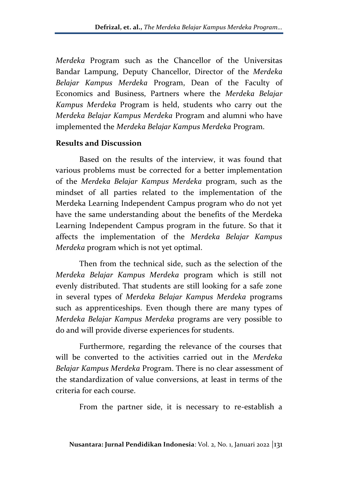*Merdeka* Program such as the Chancellor of the Universitas Bandar Lampung, Deputy Chancellor, Director of the *Merdeka Belajar Kampus Merdeka* Program, Dean of the Faculty of Economics and Business, Partners where the *Merdeka Belajar Kampus Merdeka* Program is held, students who carry out the *Merdeka Belajar Kampus Merdeka* Program and alumni who have implemented the *Merdeka Belajar Kampus Merdeka* Program.

### **Results and Discussion**

Based on the results of the interview, it was found that various problems must be corrected for a better implementation of the *Merdeka Belajar Kampus Merdeka* program, such as the mindset of all parties related to the implementation of the Merdeka Learning Independent Campus program who do not yet have the same understanding about the benefits of the Merdeka Learning Independent Campus program in the future. So that it affects the implementation of the *Merdeka Belajar Kampus Merdeka* program which is not yet optimal.

Then from the technical side, such as the selection of the *Merdeka Belajar Kampus Merdeka* program which is still not evenly distributed. That students are still looking for a safe zone in several types of *Merdeka Belajar Kampus Merdeka* programs such as apprenticeships. Even though there are many types of *Merdeka Belajar Kampus Merdeka* programs are very possible to do and will provide diverse experiences for students.

Furthermore, regarding the relevance of the courses that will be converted to the activities carried out in the *Merdeka Belajar Kampus Merdeka* Program. There is no clear assessment of the standardization of value conversions, at least in terms of the criteria for each course.

From the partner side, it is necessary to re-establish a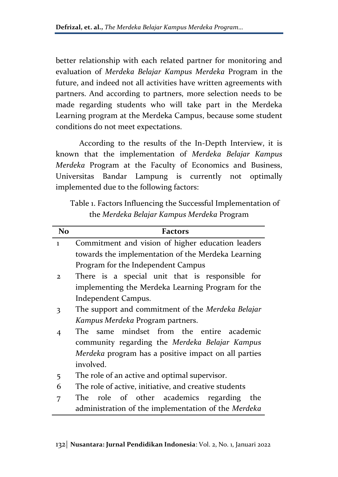better relationship with each related partner for monitoring and evaluation of *Merdeka Belajar Kampus Merdeka* Program in the future, and indeed not all activities have written agreements with partners. And according to partners, more selection needs to be made regarding students who will take part in the Merdeka Learning program at the Merdeka Campus, because some student conditions do not meet expectations.

According to the results of the In-Depth Interview, it is known that the implementation of *Merdeka Belajar Kampus Merdeka* Program at the Faculty of Economics and Business, Universitas Bandar Lampung is currently not optimally implemented due to the following factors:

Table 1. Factors Influencing the Successful Implementation of the *Merdeka Belajar Kampus Merdeka* Program

| <b>No</b>      | <b>Factors</b>                                        |
|----------------|-------------------------------------------------------|
| $\mathbf{I}$   | Commitment and vision of higher education leaders     |
|                | towards the implementation of the Merdeka Learning    |
|                | Program for the Independent Campus                    |
| $\mathbf{2}$   | There is a special unit that is responsible for       |
|                | implementing the Merdeka Learning Program for the     |
|                | Independent Campus.                                   |
| 3              | The support and commitment of the Merdeka Belajar     |
|                | Kampus Merdeka Program partners.                      |
| $\overline{4}$ | The same mindset from the entire academic             |
|                | community regarding the Merdeka Belajar Kampus        |
|                | Merdeka program has a positive impact on all parties  |
|                | involved.                                             |
| 5              | The role of an active and optimal supervisor.         |
| 6              | The role of active, initiative, and creative students |
| 7              | The role of other academics regarding<br>the          |
|                | administration of the implementation of the Merdeka   |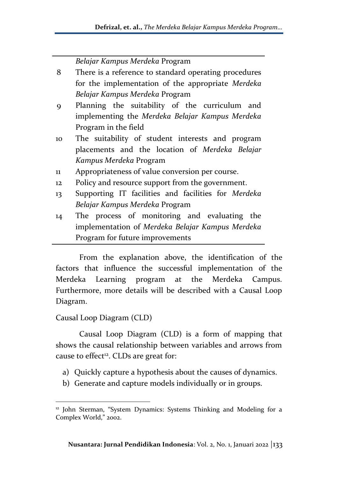|              | Belajar Kampus Merdeka Program                        |
|--------------|-------------------------------------------------------|
| 8            | There is a reference to standard operating procedures |
|              | for the implementation of the appropriate Merdeka     |
|              | Belajar Kampus Merdeka Program                        |
| 9            | Planning the suitability of the curriculum and        |
|              | implementing the Merdeka Belajar Kampus Merdeka       |
|              | Program in the field                                  |
| 10           | The suitability of student interests and program      |
|              | placements and the location of Merdeka Belajar        |
|              | Kampus Merdeka Program                                |
| $\mathbf{u}$ | Appropriateness of value conversion per course.       |
| 12           | Policy and resource support from the government.      |
| 13           | Supporting IT facilities and facilities for Merdeka   |
|              | Belajar Kampus Merdeka Program                        |
| 14           | The process of monitoring and evaluating the          |
|              | implementation of Merdeka Belajar Kampus Merdeka      |
|              | Program for future improvements                       |

From the explanation above, the identification of the factors that influence the successful implementation of the Merdeka Learning program at the Merdeka Campus. Furthermore, more details will be described with a Causal Loop Diagram.

## Causal Loop Diagram (CLD)

Causal Loop Diagram (CLD) is a form of mapping that shows the causal relationship between variables and arrows from cause to effect<sup>12</sup>. CLDs are great for:

- a) Quickly capture a hypothesis about the causes of dynamics.
- b) Generate and capture models individually or in groups.

<sup>&</sup>lt;sup>12</sup> John Sterman, "System Dynamics: Systems Thinking and Modeling for a Complex World," 2002.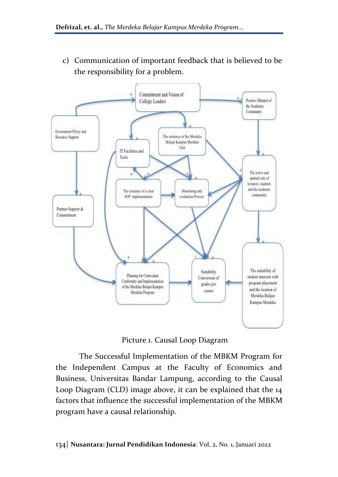c) Communication of important feedback that is believed to be the responsibility for a problem.



Picture 1. Causal Loop Diagram

The Successful Implementation of the MBKM Program for the Independent Campus at the Faculty of Economics and Business, Universitas Bandar Lampung, according to the Causal Loop Diagram (CLD) image above, it can be explained that the 14 factors that influence the successful implementation of the MBKM program have a causal relationship.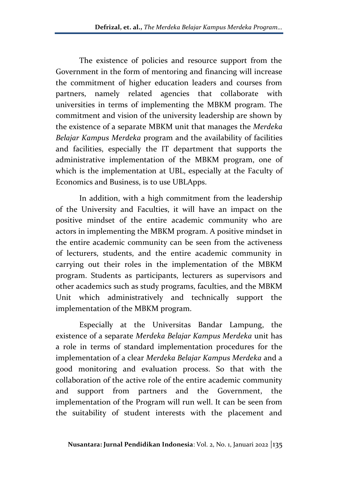The existence of policies and resource support from the Government in the form of mentoring and financing will increase the commitment of higher education leaders and courses from partners, namely related agencies that collaborate with universities in terms of implementing the MBKM program. The commitment and vision of the university leadership are shown by the existence of a separate MBKM unit that manages the *Merdeka Belajar Kampus Merdeka* program and the availability of facilities and facilities, especially the IT department that supports the administrative implementation of the MBKM program, one of which is the implementation at UBL, especially at the Faculty of Economics and Business, is to use UBLApps.

In addition, with a high commitment from the leadership of the University and Faculties, it will have an impact on the positive mindset of the entire academic community who are actors in implementing the MBKM program. A positive mindset in the entire academic community can be seen from the activeness of lecturers, students, and the entire academic community in carrying out their roles in the implementation of the MBKM program. Students as participants, lecturers as supervisors and other academics such as study programs, faculties, and the MBKM Unit which administratively and technically support the implementation of the MBKM program.

Especially at the Universitas Bandar Lampung, the existence of a separate *Merdeka Belajar Kampus Merdeka* unit has a role in terms of standard implementation procedures for the implementation of a clear *Merdeka Belajar Kampus Merdeka* and a good monitoring and evaluation process. So that with the collaboration of the active role of the entire academic community and support from partners and the Government, the implementation of the Program will run well. It can be seen from the suitability of student interests with the placement and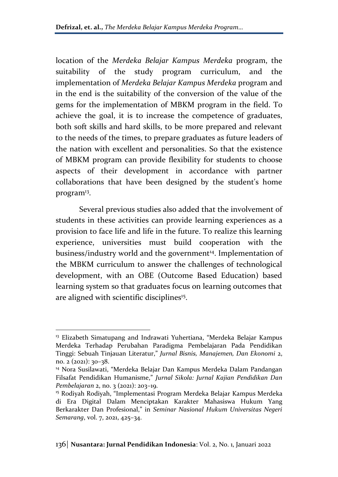location of the *Merdeka Belajar Kampus Merdeka* program, the suitability of the study program curriculum, and the implementation of *Merdeka Belajar Kampus Merdeka* program and in the end is the suitability of the conversion of the value of the gems for the implementation of MBKM program in the field. To achieve the goal, it is to increase the competence of graduates, both soft skills and hard skills, to be more prepared and relevant to the needs of the times, to prepare graduates as future leaders of the nation with excellent and personalities. So that the existence of MBKM program can provide flexibility for students to choose aspects of their development in accordance with partner collaborations that have been designed by the student's home program<sup>13</sup>.

Several previous studies also added that the involvement of students in these activities can provide learning experiences as a provision to face life and life in the future. To realize this learning experience, universities must build cooperation with the business/industry world and the government<sup>14</sup>. Implementation of the MBKM curriculum to answer the challenges of technological development, with an OBE (Outcome Based Education) based learning system so that graduates focus on learning outcomes that are aligned with scientific disciplines<sup>15</sup>.

<sup>&</sup>lt;sup>13</sup> Elizabeth Simatupang and Indrawati Yuhertiana, "Merdeka Belajar Kampus Merdeka Terhadap Perubahan Paradigma Pembelajaran Pada Pendidikan Tinggi: Sebuah Tinjauan Literatur," *Jurnal Bisnis, Manajemen, Dan Ekonomi* 2, no. 2 (2021): 30–38.

<sup>14</sup> Nora Susilawati, "Merdeka Belajar Dan Kampus Merdeka Dalam Pandangan Filsafat Pendidikan Humanisme," *Jurnal Sikola: Jurnal Kajian Pendidikan Dan Pembelajaran* 2, no. 3 (2021): 203–19.

<sup>&</sup>lt;sup>15</sup> Rodiyah Rodiyah, "Implementasi Program Merdeka Belajar Kampus Merdeka di Era Digital Dalam Menciptakan Karakter Mahasiswa Hukum Yang Berkarakter Dan Profesional," in *Seminar Nasional Hukum Universitas Negeri Semarang*, vol. 7, 2021, 425–34.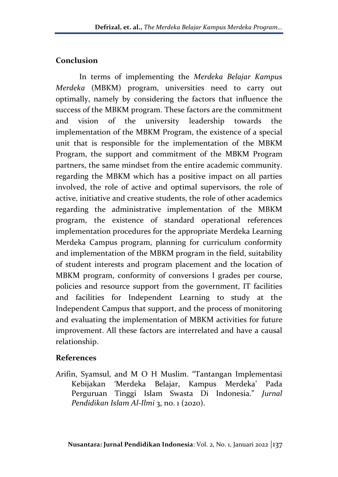## **Conclusion**

In terms of implementing the *Merdeka Belajar Kampus Merdeka* (MBKM) program, universities need to carry out optimally, namely by considering the factors that influence the success of the MBKM program. These factors are the commitment and vision of the university leadership towards the implementation of the MBKM Program, the existence of a special unit that is responsible for the implementation of the MBKM Program, the support and commitment of the MBKM Program partners, the same mindset from the entire academic community. regarding the MBKM which has a positive impact on all parties involved, the role of active and optimal supervisors, the role of active, initiative and creative students, the role of other academics regarding the administrative implementation of the MBKM program, the existence of standard operational references implementation procedures for the appropriate Merdeka Learning Merdeka Campus program, planning for curriculum conformity and implementation of the MBKM program in the field, suitability of student interests and program placement and the location of MBKM program, conformity of conversions I grades per course, policies and resource support from the government, IT facilities and facilities for Independent Learning to study at the Independent Campus that support, and the process of monitoring and evaluating the implementation of MBKM activities for future improvement. All these factors are interrelated and have a causal relationship.

## **References**

Arifin, Syamsul, and M O H Muslim. "Tantangan Implementasi Kebijakan 'Merdeka Belajar, Kampus Merdeka' Pada Perguruan Tinggi Islam Swasta Di Indonesia." *Jurnal Pendidikan Islam Al-Ilmi* 3, no. 1 (2020).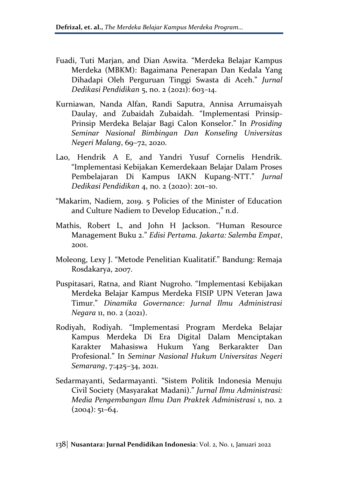- Fuadi, Tuti Marjan, and Dian Aswita. "Merdeka Belajar Kampus Merdeka (MBKM): Bagaimana Penerapan Dan Kedala Yang Dihadapi Oleh Perguruan Tinggi Swasta di Aceh." *Jurnal Dedikasi Pendidikan* 5, no. 2 (2021): 603–14.
- Kurniawan, Nanda Alfan, Randi Saputra, Annisa Arrumaisyah Daulay, and Zubaidah Zubaidah. "Implementasi Prinsip-Prinsip Merdeka Belajar Bagi Calon Konselor." In *Prosiding Seminar Nasional Bimbingan Dan Konseling Universitas Negeri Malang*, 69–72, 2020.
- Lao, Hendrik A E, and Yandri Yusuf Cornelis Hendrik. "Implementasi Kebijakan Kemerdekaan Belajar Dalam Proses Pembelajaran Di Kampus IAKN Kupang-NTT." *Jurnal Dedikasi Pendidikan* 4, no. 2 (2020): 201–10.
- "Makarim, Nadiem, 2019. 5 Policies of the Minister of Education and Culture Nadiem to Develop Education.," n.d.
- Mathis, Robert L, and John H Jackson. "Human Resource Management Buku 2." *Edisi Pertama. Jakarta: Salemba Empat*, 2001.
- Moleong, Lexy J. "Metode Penelitian Kualitatif." Bandung: Remaja Rosdakarya, 2007.
- Puspitasari, Ratna, and Riant Nugroho. "Implementasi Kebijakan Merdeka Belajar Kampus Merdeka FISIP UPN Veteran Jawa Timur." *Dinamika Governance: Jurnal Ilmu Administrasi Negara* 11, no. 2 (2021).
- Rodiyah, Rodiyah. "Implementasi Program Merdeka Belajar Kampus Merdeka Di Era Digital Dalam Menciptakan Karakter Mahasiswa Hukum Yang Berkarakter Dan Profesional." In *Seminar Nasional Hukum Universitas Negeri Semarang*, 7:425–34, 2021.
- Sedarmayanti, Sedarmayanti. "Sistem Politik Indonesia Menuju Civil Society (Masyarakat Madani)." *Jurnal Ilmu Administrasi: Media Pengembangan Ilmu Dan Praktek Administrasi* 1, no. 2  $(2004): 51-64.$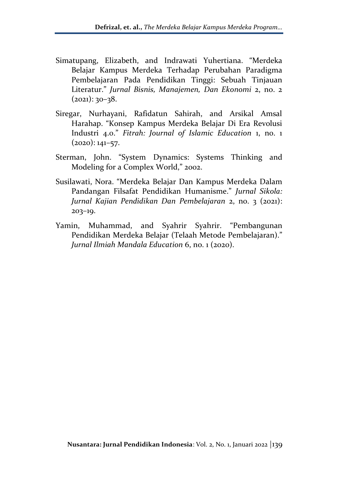- Simatupang, Elizabeth, and Indrawati Yuhertiana. "Merdeka Belajar Kampus Merdeka Terhadap Perubahan Paradigma Pembelajaran Pada Pendidikan Tinggi: Sebuah Tinjauan Literatur." *Jurnal Bisnis, Manajemen, Dan Ekonomi* 2, no. 2  $(2021): 30-38.$
- Siregar, Nurhayani, Rafidatun Sahirah, and Arsikal Amsal Harahap. "Konsep Kampus Merdeka Belajar Di Era Revolusi Industri 4.0." *Fitrah: Journal of Islamic Education* 1, no. 1  $(2020): 141-57.$
- Sterman, John. "System Dynamics: Systems Thinking and Modeling for a Complex World," 2002.
- Susilawati, Nora. "Merdeka Belajar Dan Kampus Merdeka Dalam Pandangan Filsafat Pendidikan Humanisme." *Jurnal Sikola: Jurnal Kajian Pendidikan Dan Pembelajaran* 2, no. 3 (2021): 203–19.
- Yamin, Muhammad, and Syahrir Syahrir. "Pembangunan Pendidikan Merdeka Belajar (Telaah Metode Pembelajaran)." *Jurnal Ilmiah Mandala Education* 6, no. 1 (2020).